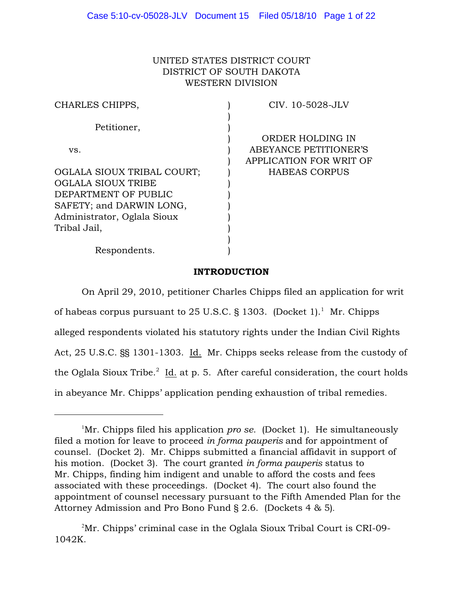# UNITED STATES DISTRICT COURT DISTRICT OF SOUTH DAKOTA WESTERN DIVISION

| CHARLES CHIPPS,             | CIV. 10-5028-JLV        |
|-----------------------------|-------------------------|
|                             |                         |
| Petitioner,                 |                         |
|                             | ORDER HOLDING IN        |
| VS.                         | ABEYANCE PETITIONER'S   |
|                             | APPLICATION FOR WRIT OF |
| OGLALA SIOUX TRIBAL COURT;  | <b>HABEAS CORPUS</b>    |
| <b>OGLALA SIOUX TRIBE</b>   |                         |
| DEPARTMENT OF PUBLIC        |                         |
| SAFETY; and DARWIN LONG,    |                         |
| Administrator, Oglala Sioux |                         |
| Tribal Jail,                |                         |
|                             |                         |
| Respondents.                |                         |
|                             |                         |

# INTRODUCTION

On April 29, 2010, petitioner Charles Chipps filed an application for writ of habeas corpus pursuant to 25 U.S.C. § 1303. (Docket 1).<sup>1</sup> Mr. Chipps alleged respondents violated his statutory rights under the Indian Civil Rights Act, 25 U.S.C. §§ 1301-1303. Id. Mr. Chipps seeks release from the custody of the Oglala Sioux Tribe. $^2$  Id. at p. 5. After careful consideration, the court holds in abeyance Mr. Chipps' application pending exhaustion of tribal remedies.

<sup>&</sup>lt;sup>1</sup>Mr. Chipps filed his application *pro se.* (Docket 1). He simultaneously filed a motion for leave to proceed *in forma pauperis* and for appointment of counsel. (Docket 2). Mr. Chipps submitted a financial affidavit in support of his motion. (Docket 3). The court granted *in forma pauperis* status to Mr. Chipps, finding him indigent and unable to afford the costs and fees associated with these proceedings. (Docket 4). The court also found the appointment of counsel necessary pursuant to the Fifth Amended Plan for the Attorney Admission and Pro Bono Fund § 2.6. (Dockets 4 & 5).

 $2\text{Mr. Chipps' criminal case in the Oglala Sioux Tribunal.}$ 1042K.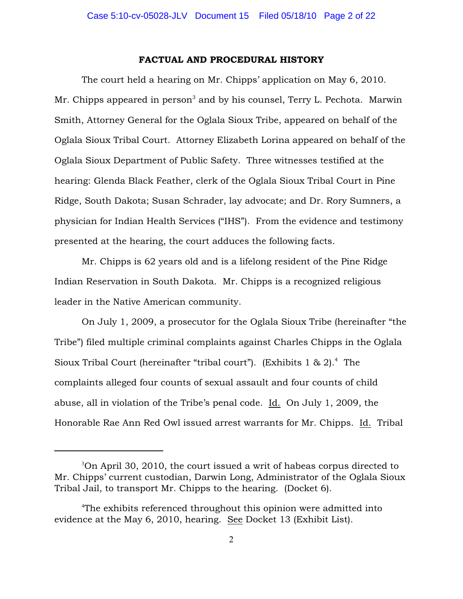## FACTUAL AND PROCEDURAL HISTORY

The court held a hearing on Mr. Chipps' application on May 6, 2010. Mr. Chipps appeared in person<sup>3</sup> and by his counsel, Terry L. Pechota. Marwin Smith, Attorney General for the Oglala Sioux Tribe, appeared on behalf of the Oglala Sioux Tribal Court. Attorney Elizabeth Lorina appeared on behalf of the Oglala Sioux Department of Public Safety. Three witnesses testified at the hearing: Glenda Black Feather, clerk of the Oglala Sioux Tribal Court in Pine Ridge, South Dakota; Susan Schrader, lay advocate; and Dr. Rory Sumners, a physician for Indian Health Services ("IHS"). From the evidence and testimony presented at the hearing, the court adduces the following facts.

Mr. Chipps is 62 years old and is a lifelong resident of the Pine Ridge Indian Reservation in South Dakota. Mr. Chipps is a recognized religious leader in the Native American community.

On July 1, 2009, a prosecutor for the Oglala Sioux Tribe (hereinafter "the Tribe") filed multiple criminal complaints against Charles Chipps in the Oglala Sioux Tribal Court (hereinafter "tribal court"). (Exhibits 1 & 2).<sup>4</sup> The complaints alleged four counts of sexual assault and four counts of child abuse, all in violation of the Tribe's penal code. Id. On July 1, 2009, the Honorable Rae Ann Red Owl issued arrest warrants for Mr. Chipps. Id. Tribal

 $3$ On April 30, 2010, the court issued a writ of habeas corpus directed to Mr. Chipps' current custodian, Darwin Long, Administrator of the Oglala Sioux Tribal Jail, to transport Mr. Chipps to the hearing. (Docket 6).

<sup>&</sup>lt;sup>4</sup>The exhibits referenced throughout this opinion were admitted into evidence at the May 6, 2010, hearing. See Docket 13 (Exhibit List).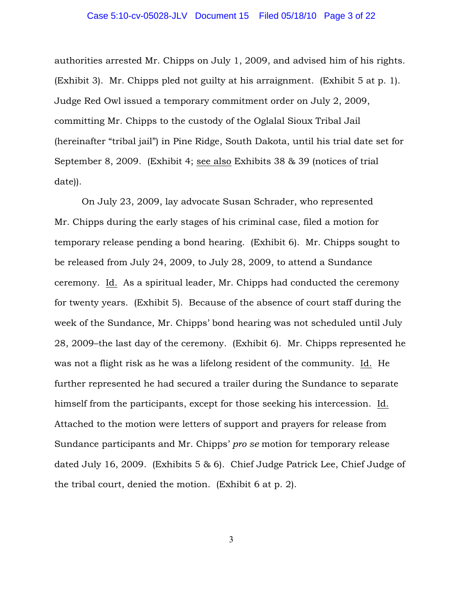## Case 5:10-cv-05028-JLV Document 15 Filed 05/18/10 Page 3 of 22

authorities arrested Mr. Chipps on July 1, 2009, and advised him of his rights. (Exhibit 3). Mr. Chipps pled not guilty at his arraignment. (Exhibit 5 at p. 1). Judge Red Owl issued a temporary commitment order on July 2, 2009, committing Mr. Chipps to the custody of the Oglalal Sioux Tribal Jail (hereinafter "tribal jail") in Pine Ridge, South Dakota, until his trial date set for September 8, 2009. (Exhibit 4; see also Exhibits 38 & 39 (notices of trial date)).

On July 23, 2009, lay advocate Susan Schrader, who represented Mr. Chipps during the early stages of his criminal case, filed a motion for temporary release pending a bond hearing. (Exhibit 6). Mr. Chipps sought to be released from July 24, 2009, to July 28, 2009, to attend a Sundance ceremony. Id. As a spiritual leader, Mr. Chipps had conducted the ceremony for twenty years. (Exhibit 5). Because of the absence of court staff during the week of the Sundance, Mr. Chipps' bond hearing was not scheduled until July 28, 2009–the last day of the ceremony. (Exhibit 6). Mr. Chipps represented he was not a flight risk as he was a lifelong resident of the community. Id. He further represented he had secured a trailer during the Sundance to separate himself from the participants, except for those seeking his intercession. Id. Attached to the motion were letters of support and prayers for release from Sundance participants and Mr. Chipps' *pro se* motion for temporary release dated July 16, 2009. (Exhibits 5 & 6). Chief Judge Patrick Lee, Chief Judge of the tribal court, denied the motion. (Exhibit 6 at p. 2).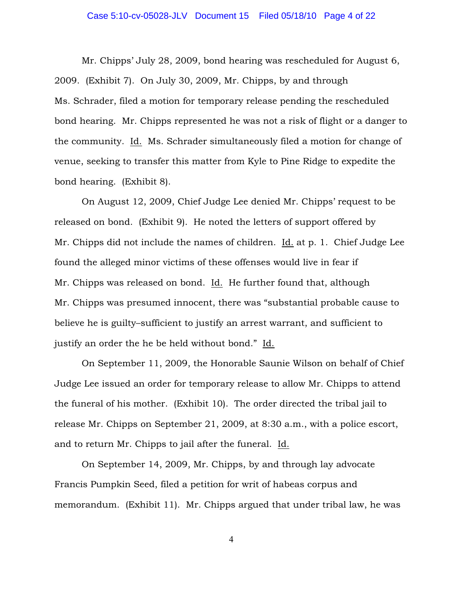## Case 5:10-cv-05028-JLV Document 15 Filed 05/18/10 Page 4 of 22

Mr. Chipps' July 28, 2009, bond hearing was rescheduled for August 6, 2009. (Exhibit 7). On July 30, 2009, Mr. Chipps, by and through Ms. Schrader, filed a motion for temporary release pending the rescheduled bond hearing. Mr. Chipps represented he was not a risk of flight or a danger to the community. Id. Ms. Schrader simultaneously filed a motion for change of venue, seeking to transfer this matter from Kyle to Pine Ridge to expedite the bond hearing. (Exhibit 8).

On August 12, 2009, Chief Judge Lee denied Mr. Chipps' request to be released on bond. (Exhibit 9). He noted the letters of support offered by Mr. Chipps did not include the names of children. Id. at p. 1. Chief Judge Lee found the alleged minor victims of these offenses would live in fear if Mr. Chipps was released on bond. Id. He further found that, although Mr. Chipps was presumed innocent, there was "substantial probable cause to believe he is guilty–sufficient to justify an arrest warrant, and sufficient to justify an order the he be held without bond." Id.

On September 11, 2009, the Honorable Saunie Wilson on behalf of Chief Judge Lee issued an order for temporary release to allow Mr. Chipps to attend the funeral of his mother. (Exhibit 10). The order directed the tribal jail to release Mr. Chipps on September 21, 2009, at 8:30 a.m., with a police escort, and to return Mr. Chipps to jail after the funeral. Id.

On September 14, 2009, Mr. Chipps, by and through lay advocate Francis Pumpkin Seed, filed a petition for writ of habeas corpus and memorandum. (Exhibit 11). Mr. Chipps argued that under tribal law, he was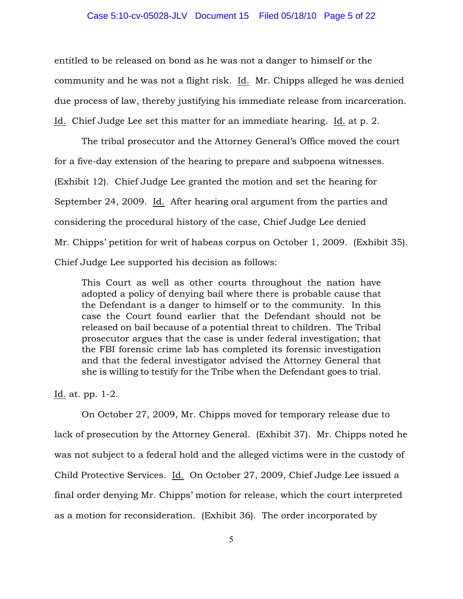## Case 5:10-cv-05028-JLV Document 15 Filed 05/18/10 Page 5 of 22

entitled to be released on bond as he was not a danger to himself or the community and he was not a flight risk. Id. Mr. Chipps alleged he was denied due process of law, thereby justifying his immediate release from incarceration. Id. Chief Judge Lee set this matter for an immediate hearing. Id. at p. 2.

The tribal prosecutor and the Attorney General's Office moved the court for a five-day extension of the hearing to prepare and subpoena witnesses. (Exhibit 12). Chief Judge Lee granted the motion and set the hearing for September 24, 2009. Id. After hearing oral argument from the parties and considering the procedural history of the case, Chief Judge Lee denied Mr. Chipps' petition for writ of habeas corpus on October 1, 2009. (Exhibit 35). Chief Judge Lee supported his decision as follows:

This Court as well as other courts throughout the nation have adopted a policy of denying bail where there is probable cause that the Defendant is a danger to himself or to the community. In this case the Court found earlier that the Defendant should not be released on bail because of a potential threat to children. The Tribal prosecutor argues that the case is under federal investigation; that the FBI forensic crime lab has completed its forensic investigation and that the federal investigator advised the Attorney General that she is willing to testify for the Tribe when the Defendant goes to trial.

Id. at. pp. 1-2.

On October 27, 2009, Mr. Chipps moved for temporary release due to lack of prosecution by the Attorney General. (Exhibit 37). Mr. Chipps noted he was not subject to a federal hold and the alleged victims were in the custody of Child Protective Services. Id. On October 27, 2009, Chief Judge Lee issued a final order denying Mr. Chipps' motion for release, which the court interpreted as a motion for reconsideration. (Exhibit 36). The order incorporated by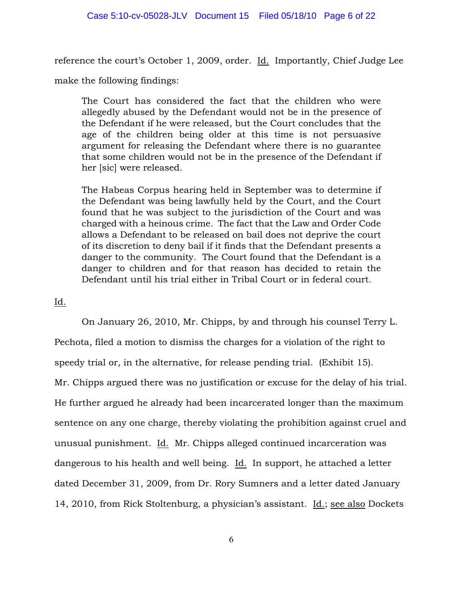reference the court's October 1, 2009, order. Id. Importantly, Chief Judge Lee

make the following findings:

The Court has considered the fact that the children who were allegedly abused by the Defendant would not be in the presence of the Defendant if he were released, but the Court concludes that the age of the children being older at this time is not persuasive argument for releasing the Defendant where there is no guarantee that some children would not be in the presence of the Defendant if her [sic] were released.

The Habeas Corpus hearing held in September was to determine if the Defendant was being lawfully held by the Court, and the Court found that he was subject to the jurisdiction of the Court and was charged with a heinous crime. The fact that the Law and Order Code allows a Defendant to be released on bail does not deprive the court of its discretion to deny bail if it finds that the Defendant presents a danger to the community. The Court found that the Defendant is a danger to children and for that reason has decided to retain the Defendant until his trial either in Tribal Court or in federal court.

Id.

On January 26, 2010, Mr. Chipps, by and through his counsel Terry L. Pechota, filed a motion to dismiss the charges for a violation of the right to speedy trial or, in the alternative, for release pending trial. (Exhibit 15). Mr. Chipps argued there was no justification or excuse for the delay of his trial. He further argued he already had been incarcerated longer than the maximum sentence on any one charge, thereby violating the prohibition against cruel and unusual punishment. Id. Mr. Chipps alleged continued incarceration was dangerous to his health and well being. Id. In support, he attached a letter dated December 31, 2009, from Dr. Rory Sumners and a letter dated January 14, 2010, from Rick Stoltenburg, a physician's assistant. Id.; see also Dockets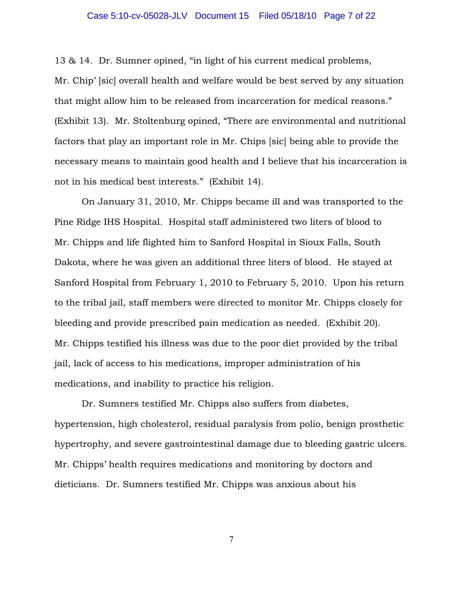## Case 5:10-cv-05028-JLV Document 15 Filed 05/18/10 Page 7 of 22

13 & 14. Dr. Sumner opined, "in light of his current medical problems, Mr. Chip' [sic] overall health and welfare would be best served by any situation that might allow him to be released from incarceration for medical reasons." (Exhibit 13). Mr. Stoltenburg opined, "There are environmental and nutritional factors that play an important role in Mr. Chips [sic] being able to provide the necessary means to maintain good health and I believe that his incarceration is not in his medical best interests." (Exhibit 14).

On January 31, 2010, Mr. Chipps became ill and was transported to the Pine Ridge IHS Hospital. Hospital staff administered two liters of blood to Mr. Chipps and life flighted him to Sanford Hospital in Sioux Falls, South Dakota, where he was given an additional three liters of blood. He stayed at Sanford Hospital from February 1, 2010 to February 5, 2010. Upon his return to the tribal jail, staff members were directed to monitor Mr. Chipps closely for bleeding and provide prescribed pain medication as needed. (Exhibit 20). Mr. Chipps testified his illness was due to the poor diet provided by the tribal jail, lack of access to his medications, improper administration of his medications, and inability to practice his religion.

Dr. Sumners testified Mr. Chipps also suffers from diabetes, hypertension, high cholesterol, residual paralysis from polio, benign prosthetic hypertrophy, and severe gastrointestinal damage due to bleeding gastric ulcers. Mr. Chipps' health requires medications and monitoring by doctors and dieticians. Dr. Sumners testified Mr. Chipps was anxious about his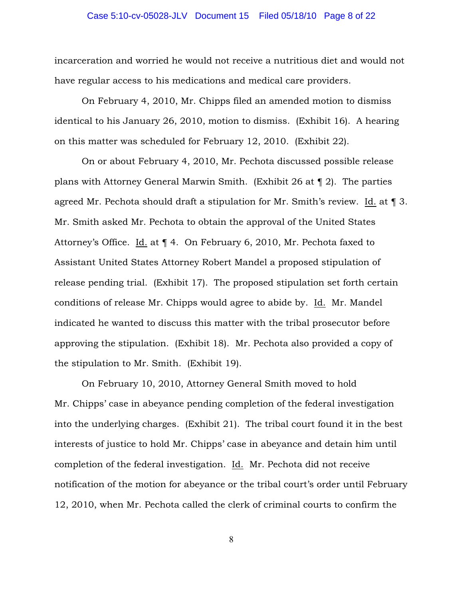## Case 5:10-cv-05028-JLV Document 15 Filed 05/18/10 Page 8 of 22

incarceration and worried he would not receive a nutritious diet and would not have regular access to his medications and medical care providers.

On February 4, 2010, Mr. Chipps filed an amended motion to dismiss identical to his January 26, 2010, motion to dismiss. (Exhibit 16). A hearing on this matter was scheduled for February 12, 2010. (Exhibit 22).

On or about February 4, 2010, Mr. Pechota discussed possible release plans with Attorney General Marwin Smith. (Exhibit 26 at ¶ 2). The parties agreed Mr. Pechota should draft a stipulation for Mr. Smith's review. Id. at ¶ 3. Mr. Smith asked Mr. Pechota to obtain the approval of the United States Attorney's Office. Id. at ¶ 4. On February 6, 2010, Mr. Pechota faxed to Assistant United States Attorney Robert Mandel a proposed stipulation of release pending trial. (Exhibit 17). The proposed stipulation set forth certain conditions of release Mr. Chipps would agree to abide by. Id. Mr. Mandel indicated he wanted to discuss this matter with the tribal prosecutor before approving the stipulation. (Exhibit 18). Mr. Pechota also provided a copy of the stipulation to Mr. Smith. (Exhibit 19).

On February 10, 2010, Attorney General Smith moved to hold Mr. Chipps' case in abeyance pending completion of the federal investigation into the underlying charges. (Exhibit 21). The tribal court found it in the best interests of justice to hold Mr. Chipps' case in abeyance and detain him until completion of the federal investigation. Id. Mr. Pechota did not receive notification of the motion for abeyance or the tribal court's order until February 12, 2010, when Mr. Pechota called the clerk of criminal courts to confirm the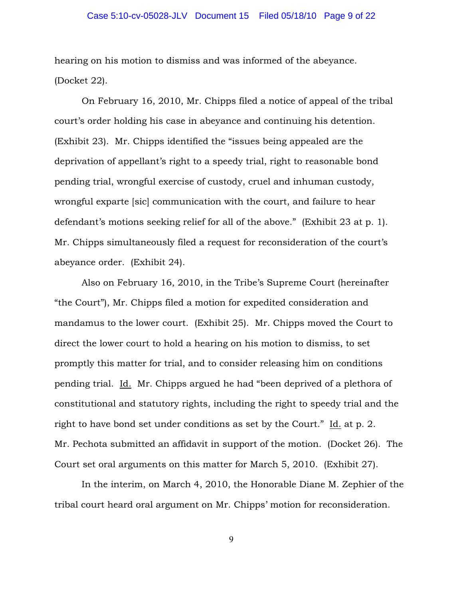## Case 5:10-cv-05028-JLV Document 15 Filed 05/18/10 Page 9 of 22

hearing on his motion to dismiss and was informed of the abeyance. (Docket 22).

On February 16, 2010, Mr. Chipps filed a notice of appeal of the tribal court's order holding his case in abeyance and continuing his detention. (Exhibit 23). Mr. Chipps identified the "issues being appealed are the deprivation of appellant's right to a speedy trial, right to reasonable bond pending trial, wrongful exercise of custody, cruel and inhuman custody, wrongful exparte [sic] communication with the court, and failure to hear defendant's motions seeking relief for all of the above." (Exhibit 23 at p. 1). Mr. Chipps simultaneously filed a request for reconsideration of the court's abeyance order. (Exhibit 24).

Also on February 16, 2010, in the Tribe's Supreme Court (hereinafter "the Court"), Mr. Chipps filed a motion for expedited consideration and mandamus to the lower court. (Exhibit 25). Mr. Chipps moved the Court to direct the lower court to hold a hearing on his motion to dismiss, to set promptly this matter for trial, and to consider releasing him on conditions pending trial. Id. Mr. Chipps argued he had "been deprived of a plethora of constitutional and statutory rights, including the right to speedy trial and the right to have bond set under conditions as set by the Court." Id. at p. 2. Mr. Pechota submitted an affidavit in support of the motion. (Docket 26). The Court set oral arguments on this matter for March 5, 2010. (Exhibit 27).

In the interim, on March 4, 2010, the Honorable Diane M. Zephier of the tribal court heard oral argument on Mr. Chipps' motion for reconsideration.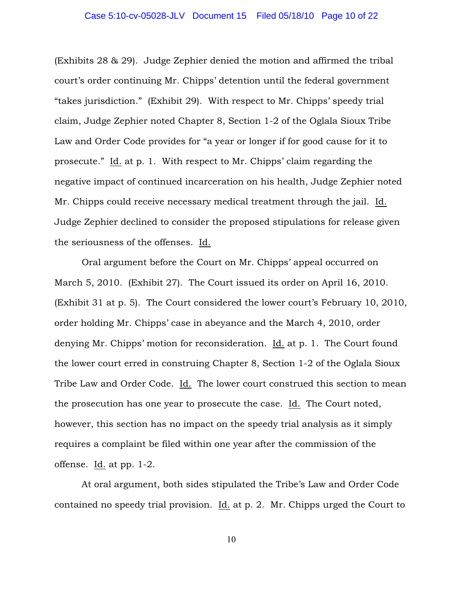(Exhibits 28 & 29). Judge Zephier denied the motion and affirmed the tribal court's order continuing Mr. Chipps' detention until the federal government "takes jurisdiction." (Exhibit 29). With respect to Mr. Chipps' speedy trial claim, Judge Zephier noted Chapter 8, Section 1-2 of the Oglala Sioux Tribe Law and Order Code provides for "a year or longer if for good cause for it to prosecute." Id. at p. 1. With respect to Mr. Chipps' claim regarding the negative impact of continued incarceration on his health, Judge Zephier noted Mr. Chipps could receive necessary medical treatment through the jail. Id. Judge Zephier declined to consider the proposed stipulations for release given the seriousness of the offenses. Id.

Oral argument before the Court on Mr. Chipps' appeal occurred on March 5, 2010. (Exhibit 27). The Court issued its order on April 16, 2010. (Exhibit 31 at p. 5). The Court considered the lower court's February 10, 2010, order holding Mr. Chipps' case in abeyance and the March 4, 2010, order denying Mr. Chipps' motion for reconsideration. Id. at p. 1. The Court found the lower court erred in construing Chapter 8, Section 1-2 of the Oglala Sioux Tribe Law and Order Code. Id. The lower court construed this section to mean the prosecution has one year to prosecute the case. Id. The Court noted, however, this section has no impact on the speedy trial analysis as it simply requires a complaint be filed within one year after the commission of the offense. Id. at pp. 1-2.

At oral argument, both sides stipulated the Tribe's Law and Order Code contained no speedy trial provision. Id. at p. 2. Mr. Chipps urged the Court to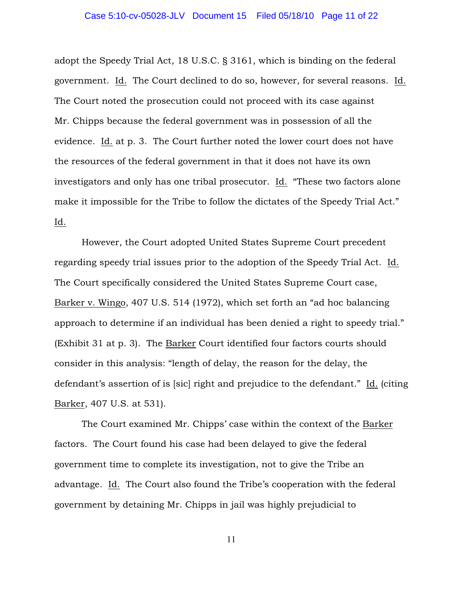adopt the Speedy Trial Act, 18 U.S.C. § 3161, which is binding on the federal government. Id. The Court declined to do so, however, for several reasons. Id. The Court noted the prosecution could not proceed with its case against Mr. Chipps because the federal government was in possession of all the evidence. Id. at p. 3. The Court further noted the lower court does not have the resources of the federal government in that it does not have its own investigators and only has one tribal prosecutor. Id. "These two factors alone make it impossible for the Tribe to follow the dictates of the Speedy Trial Act." Id.

However, the Court adopted United States Supreme Court precedent regarding speedy trial issues prior to the adoption of the Speedy Trial Act. Id. The Court specifically considered the United States Supreme Court case, Barker v. Wingo, 407 U.S. 514 (1972), which set forth an "ad hoc balancing approach to determine if an individual has been denied a right to speedy trial." (Exhibit 31 at p. 3). The Barker Court identified four factors courts should consider in this analysis: "length of delay, the reason for the delay, the defendant's assertion of is [sic] right and prejudice to the defendant." Id. (citing Barker, 407 U.S. at 531).

The Court examined Mr. Chipps' case within the context of the Barker factors. The Court found his case had been delayed to give the federal government time to complete its investigation, not to give the Tribe an advantage. Id. The Court also found the Tribe's cooperation with the federal government by detaining Mr. Chipps in jail was highly prejudicial to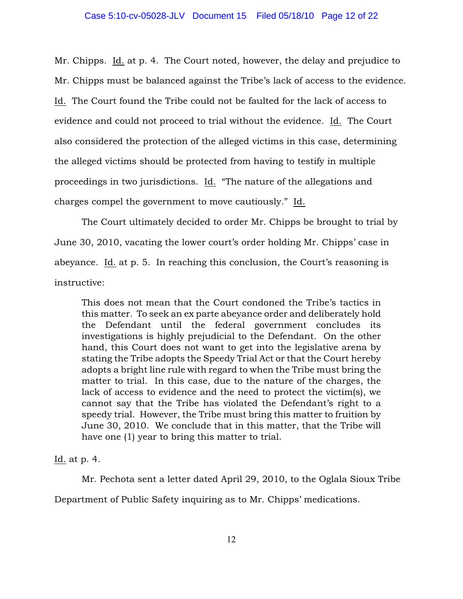Mr. Chipps. Id. at p. 4. The Court noted, however, the delay and prejudice to Mr. Chipps must be balanced against the Tribe's lack of access to the evidence. Id. The Court found the Tribe could not be faulted for the lack of access to evidence and could not proceed to trial without the evidence. Id. The Court also considered the protection of the alleged victims in this case, determining the alleged victims should be protected from having to testify in multiple proceedings in two jurisdictions. Id. "The nature of the allegations and charges compel the government to move cautiously." Id.

The Court ultimately decided to order Mr. Chipps be brought to trial by June 30, 2010, vacating the lower court's order holding Mr. Chipps' case in abeyance. Id. at p. 5. In reaching this conclusion, the Court's reasoning is instructive:

This does not mean that the Court condoned the Tribe's tactics in this matter. To seek an ex parte abeyance order and deliberately hold the Defendant until the federal government concludes its investigations is highly prejudicial to the Defendant. On the other hand, this Court does not want to get into the legislative arena by stating the Tribe adopts the Speedy Trial Act or that the Court hereby adopts a bright line rule with regard to when the Tribe must bring the matter to trial. In this case, due to the nature of the charges, the lack of access to evidence and the need to protect the victim(s), we cannot say that the Tribe has violated the Defendant's right to a speedy trial. However, the Tribe must bring this matter to fruition by June 30, 2010. We conclude that in this matter, that the Tribe will have one (1) year to bring this matter to trial.

Id. at p. 4.

Mr. Pechota sent a letter dated April 29, 2010, to the Oglala Sioux Tribe

Department of Public Safety inquiring as to Mr. Chipps' medications.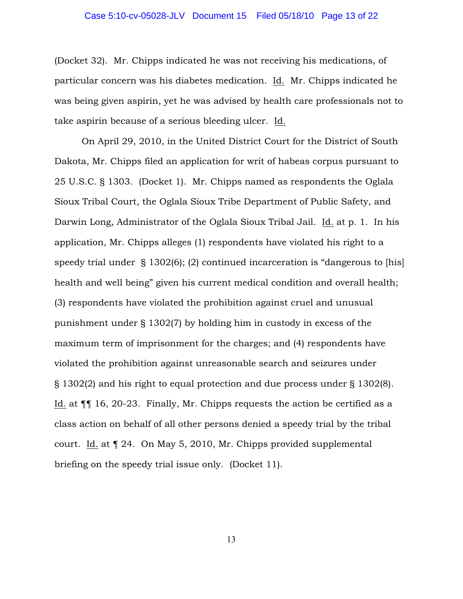## Case 5:10-cv-05028-JLV Document 15 Filed 05/18/10 Page 13 of 22

(Docket 32). Mr. Chipps indicated he was not receiving his medications, of particular concern was his diabetes medication. Id. Mr. Chipps indicated he was being given aspirin, yet he was advised by health care professionals not to take aspirin because of a serious bleeding ulcer. Id.

On April 29, 2010, in the United District Court for the District of South Dakota, Mr. Chipps filed an application for writ of habeas corpus pursuant to 25 U.S.C. § 1303. (Docket 1). Mr. Chipps named as respondents the Oglala Sioux Tribal Court, the Oglala Sioux Tribe Department of Public Safety, and Darwin Long, Administrator of the Oglala Sioux Tribal Jail. Id. at p. 1. In his application, Mr. Chipps alleges (1) respondents have violated his right to a speedy trial under § 1302(6); (2) continued incarceration is "dangerous to [his] health and well being" given his current medical condition and overall health; (3) respondents have violated the prohibition against cruel and unusual punishment under § 1302(7) by holding him in custody in excess of the maximum term of imprisonment for the charges; and (4) respondents have violated the prohibition against unreasonable search and seizures under § 1302(2) and his right to equal protection and due process under § 1302(8). Id. at ¶¶ 16, 20-23. Finally, Mr. Chipps requests the action be certified as a class action on behalf of all other persons denied a speedy trial by the tribal court. Id. at ¶ 24. On May 5, 2010, Mr. Chipps provided supplemental briefing on the speedy trial issue only. (Docket 11).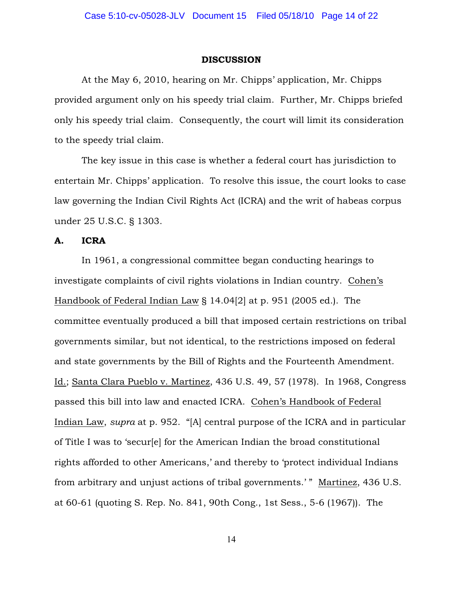#### DISCUSSION

At the May 6, 2010, hearing on Mr. Chipps' application, Mr. Chipps provided argument only on his speedy trial claim. Further, Mr. Chipps briefed only his speedy trial claim. Consequently, the court will limit its consideration to the speedy trial claim.

The key issue in this case is whether a federal court has jurisdiction to entertain Mr. Chipps' application. To resolve this issue, the court looks to case law governing the Indian Civil Rights Act (ICRA) and the writ of habeas corpus under 25 U.S.C. § 1303.

## A. ICRA

In 1961, a congressional committee began conducting hearings to investigate complaints of civil rights violations in Indian country. Cohen's Handbook of Federal Indian Law § 14.04[2] at p. 951 (2005 ed.). The committee eventually produced a bill that imposed certain restrictions on tribal governments similar, but not identical, to the restrictions imposed on federal and state governments by the Bill of Rights and the Fourteenth Amendment. Id.; Santa Clara Pueblo v. Martinez, 436 U.S. 49, 57 (1978). In 1968, Congress passed this bill into law and enacted ICRA. Cohen's Handbook of Federal Indian Law, *supra* at p. 952. "[A] central purpose of the ICRA and in particular of Title I was to 'secur[e] for the American Indian the broad constitutional rights afforded to other Americans,' and thereby to 'protect individual Indians from arbitrary and unjust actions of tribal governments.'" Martinez, 436 U.S. at 60-61 (quoting S. Rep. No. 841, 90th Cong., 1st Sess., 5-6 (1967)). The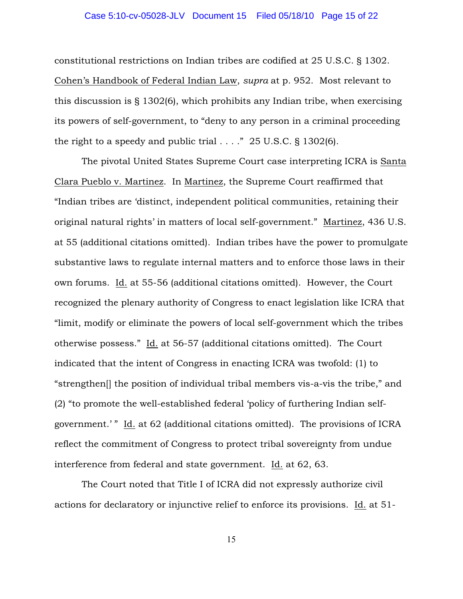## Case 5:10-cv-05028-JLV Document 15 Filed 05/18/10 Page 15 of 22

constitutional restrictions on Indian tribes are codified at 25 U.S.C. § 1302. Cohen's Handbook of Federal Indian Law, *supra* at p. 952. Most relevant to this discussion is § 1302(6), which prohibits any Indian tribe, when exercising its powers of self-government, to "deny to any person in a criminal proceeding the right to a speedy and public trial  $\ldots$ ." 25 U.S.C. § 1302(6).

The pivotal United States Supreme Court case interpreting ICRA is Santa Clara Pueblo v. Martinez. In Martinez, the Supreme Court reaffirmed that "Indian tribes are 'distinct, independent political communities, retaining their original natural rights' in matters of local self-government." Martinez, 436 U.S. at 55 (additional citations omitted). Indian tribes have the power to promulgate substantive laws to regulate internal matters and to enforce those laws in their own forums. Id. at 55-56 (additional citations omitted). However, the Court recognized the plenary authority of Congress to enact legislation like ICRA that "limit, modify or eliminate the powers of local self-government which the tribes otherwise possess." Id. at 56-57 (additional citations omitted). The Court indicated that the intent of Congress in enacting ICRA was twofold: (1) to "strengthen[] the position of individual tribal members vis-a-vis the tribe," and (2) "to promote the well-established federal 'policy of furthering Indian selfgovernment.' " Id. at 62 (additional citations omitted). The provisions of ICRA reflect the commitment of Congress to protect tribal sovereignty from undue interference from federal and state government. Id. at 62, 63.

The Court noted that Title I of ICRA did not expressly authorize civil actions for declaratory or injunctive relief to enforce its provisions. Id. at 51-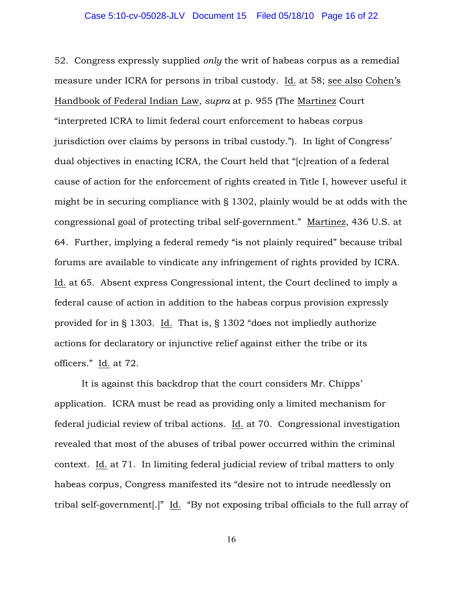## Case 5:10-cv-05028-JLV Document 15 Filed 05/18/10 Page 16 of 22

52. Congress expressly supplied *only* the writ of habeas corpus as a remedial measure under ICRA for persons in tribal custody. Id. at 58; see also Cohen's Handbook of Federal Indian Law, *supra* at p. 955 (The Martinez Court "interpreted ICRA to limit federal court enforcement to habeas corpus jurisdiction over claims by persons in tribal custody."). In light of Congress' dual objectives in enacting ICRA, the Court held that "[c]reation of a federal cause of action for the enforcement of rights created in Title I, however useful it might be in securing compliance with § 1302, plainly would be at odds with the congressional goal of protecting tribal self-government." Martinez, 436 U.S. at 64. Further, implying a federal remedy "is not plainly required" because tribal forums are available to vindicate any infringement of rights provided by ICRA. Id. at 65. Absent express Congressional intent, the Court declined to imply a federal cause of action in addition to the habeas corpus provision expressly provided for in § 1303. Id. That is, § 1302 "does not impliedly authorize actions for declaratory or injunctive relief against either the tribe or its officers." Id. at 72.

It is against this backdrop that the court considers Mr. Chipps' application. ICRA must be read as providing only a limited mechanism for federal judicial review of tribal actions. Id. at 70. Congressional investigation revealed that most of the abuses of tribal power occurred within the criminal context. Id. at 71. In limiting federal judicial review of tribal matters to only habeas corpus, Congress manifested its "desire not to intrude needlessly on tribal self-government[.]" Id. "By not exposing tribal officials to the full array of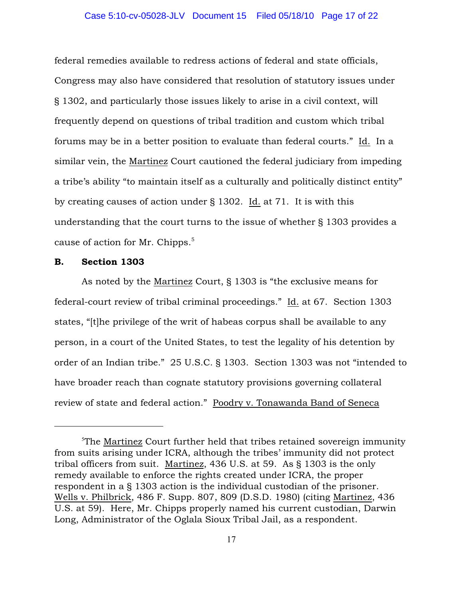## Case 5:10-cv-05028-JLV Document 15 Filed 05/18/10 Page 17 of 22

federal remedies available to redress actions of federal and state officials, Congress may also have considered that resolution of statutory issues under § 1302, and particularly those issues likely to arise in a civil context, will frequently depend on questions of tribal tradition and custom which tribal forums may be in a better position to evaluate than federal courts." Id. In a similar vein, the Martinez Court cautioned the federal judiciary from impeding a tribe's ability "to maintain itself as a culturally and politically distinct entity" by creating causes of action under § 1302. Id. at 71. It is with this understanding that the court turns to the issue of whether § 1303 provides a cause of action for Mr. Chipps. 5

## B. Section 1303

As noted by the Martinez Court, § 1303 is "the exclusive means for federal-court review of tribal criminal proceedings." Id. at 67. Section 1303 states, "[t]he privilege of the writ of habeas corpus shall be available to any person, in a court of the United States, to test the legality of his detention by order of an Indian tribe." 25 U.S.C. § 1303. Section 1303 was not "intended to have broader reach than cognate statutory provisions governing collateral review of state and federal action." Poodry v. Tonawanda Band of Seneca

<sup>&</sup>lt;sup>5</sup>The Martinez Court further held that tribes retained sovereign immunity from suits arising under ICRA, although the tribes' immunity did not protect tribal officers from suit. Martinez, 436 U.S. at 59. As § 1303 is the only remedy available to enforce the rights created under ICRA, the proper respondent in a § 1303 action is the individual custodian of the prisoner. Wells v. Philbrick, 486 F. Supp. 807, 809 (D.S.D. 1980) (citing Martinez, 436 U.S. at 59). Here, Mr. Chipps properly named his current custodian, Darwin Long, Administrator of the Oglala Sioux Tribal Jail, as a respondent.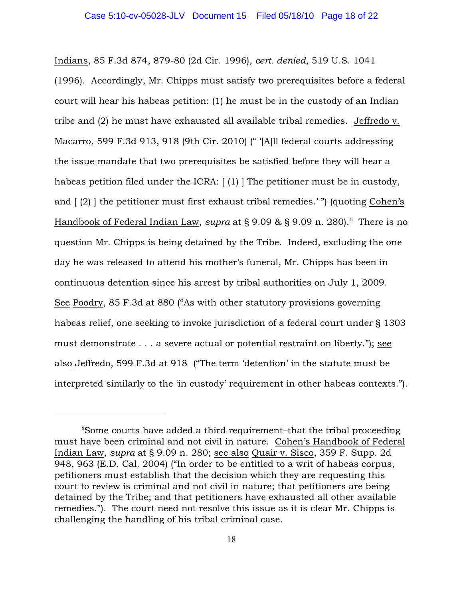Indians, 85 F.3d 874, 879-80 (2d Cir. 1996), *cert. denied*, 519 U.S. 1041 (1996). Accordingly, Mr. Chipps must satisfy two prerequisites before a federal court will hear his habeas petition: (1) he must be in the custody of an Indian tribe and (2) he must have exhausted all available tribal remedies. Jeffredo v. Macarro, 599 F.3d 913, 918 (9th Cir. 2010) (" '[A]ll federal courts addressing the issue mandate that two prerequisites be satisfied before they will hear a habeas petition filed under the ICRA: [(1)] The petitioner must be in custody, and [ (2) ] the petitioner must first exhaust tribal remedies.' ") (quoting Cohen's Handbook of Federal Indian Law, *supra* at  $\S 9.09 \& \S 9.09$  n. 280).<sup>6</sup> There is no question Mr. Chipps is being detained by the Tribe. Indeed, excluding the one day he was released to attend his mother's funeral, Mr. Chipps has been in continuous detention since his arrest by tribal authorities on July 1, 2009. See Poodry, 85 F.3d at 880 ("As with other statutory provisions governing habeas relief, one seeking to invoke jurisdiction of a federal court under § 1303 must demonstrate . . . a severe actual or potential restraint on liberty."); see also Jeffredo, 599 F.3d at 918 ("The term 'detention' in the statute must be interpreted similarly to the 'in custody' requirement in other habeas contexts.").

 $\delta$ Some courts have added a third requirement–that the tribal proceeding must have been criminal and not civil in nature. Cohen's Handbook of Federal Indian Law, *supra* at § 9.09 n. 280; see also Quair v. Sisco, 359 F. Supp. 2d 948, 963 (E.D. Cal. 2004) ("In order to be entitled to a writ of habeas corpus, petitioners must establish that the decision which they are requesting this court to review is criminal and not civil in nature; that petitioners are being detained by the Tribe; and that petitioners have exhausted all other available remedies."). The court need not resolve this issue as it is clear Mr. Chipps is challenging the handling of his tribal criminal case.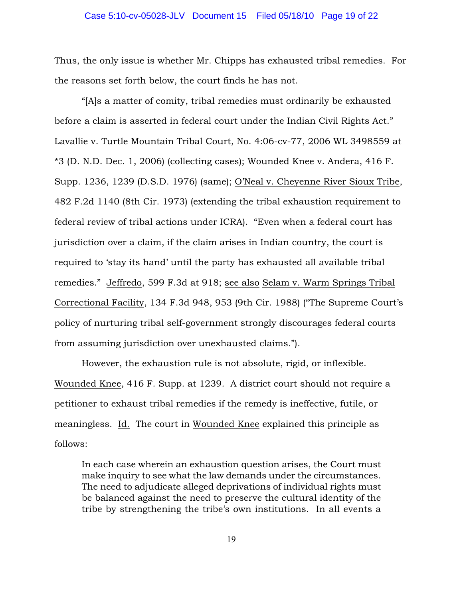## Case 5:10-cv-05028-JLV Document 15 Filed 05/18/10 Page 19 of 22

Thus, the only issue is whether Mr. Chipps has exhausted tribal remedies. For the reasons set forth below, the court finds he has not.

"[A]s a matter of comity, tribal remedies must ordinarily be exhausted before a claim is asserted in federal court under the Indian Civil Rights Act." Lavallie v. Turtle Mountain Tribal Court, No. 4:06-cv-77, 2006 WL 3498559 at \*3 (D. N.D. Dec. 1, 2006) (collecting cases); Wounded Knee v. Andera, 416 F. Supp. 1236, 1239 (D.S.D. 1976) (same); O'Neal v. Cheyenne River Sioux Tribe, 482 F.2d 1140 (8th Cir. 1973) (extending the tribal exhaustion requirement to federal review of tribal actions under ICRA). "Even when a federal court has jurisdiction over a claim, if the claim arises in Indian country, the court is required to 'stay its hand' until the party has exhausted all available tribal remedies." Jeffredo, 599 F.3d at 918; see also Selam v. Warm Springs Tribal Correctional Facility, 134 F.3d 948, 953 (9th Cir. 1988) ("The Supreme Court's policy of nurturing tribal self-government strongly discourages federal courts from assuming jurisdiction over unexhausted claims.").

However, the exhaustion rule is not absolute, rigid, or inflexible. Wounded Knee, 416 F. Supp. at 1239. A district court should not require a petitioner to exhaust tribal remedies if the remedy is ineffective, futile, or meaningless. Id. The court in Wounded Knee explained this principle as follows:

In each case wherein an exhaustion question arises, the Court must make inquiry to see what the law demands under the circumstances. The need to adjudicate alleged deprivations of individual rights must be balanced against the need to preserve the cultural identity of the tribe by strengthening the tribe's own institutions. In all events a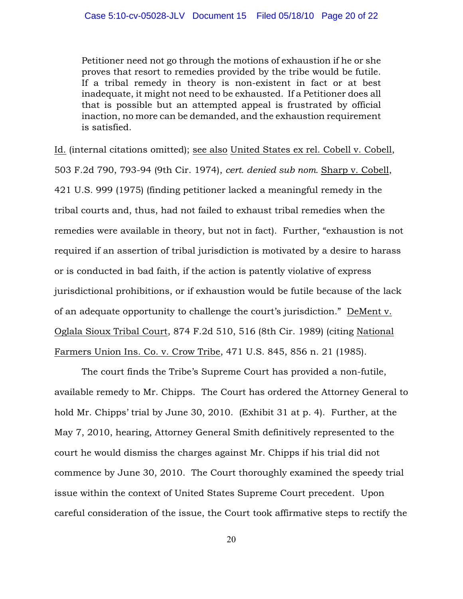Petitioner need not go through the motions of exhaustion if he or she proves that resort to remedies provided by the tribe would be futile. If a tribal remedy in theory is non-existent in fact or at best inadequate, it might not need to be exhausted. If a Petitioner does all that is possible but an attempted appeal is frustrated by official inaction, no more can be demanded, and the exhaustion requirement is satisfied.

Id. (internal citations omitted); see also United States ex rel. Cobell v. Cobell, 503 F.2d 790, 793-94 (9th Cir. 1974), *cert. denied sub nom.* Sharp v. Cobell, 421 U.S. 999 (1975) (finding petitioner lacked a meaningful remedy in the tribal courts and, thus, had not failed to exhaust tribal remedies when the remedies were available in theory, but not in fact). Further, "exhaustion is not required if an assertion of tribal jurisdiction is motivated by a desire to harass or is conducted in bad faith, if the action is patently violative of express jurisdictional prohibitions, or if exhaustion would be futile because of the lack of an adequate opportunity to challenge the court's jurisdiction." DeMent v. Oglala Sioux Tribal Court, 874 F.2d 510, 516 (8th Cir. 1989) (citing National Farmers Union Ins. Co. v. Crow Tribe, 471 U.S. 845, 856 n. 21 (1985).

The court finds the Tribe's Supreme Court has provided a non-futile, available remedy to Mr. Chipps. The Court has ordered the Attorney General to hold Mr. Chipps' trial by June 30, 2010. (Exhibit 31 at p. 4). Further, at the May 7, 2010, hearing, Attorney General Smith definitively represented to the court he would dismiss the charges against Mr. Chipps if his trial did not commence by June 30, 2010. The Court thoroughly examined the speedy trial issue within the context of United States Supreme Court precedent. Upon careful consideration of the issue, the Court took affirmative steps to rectify the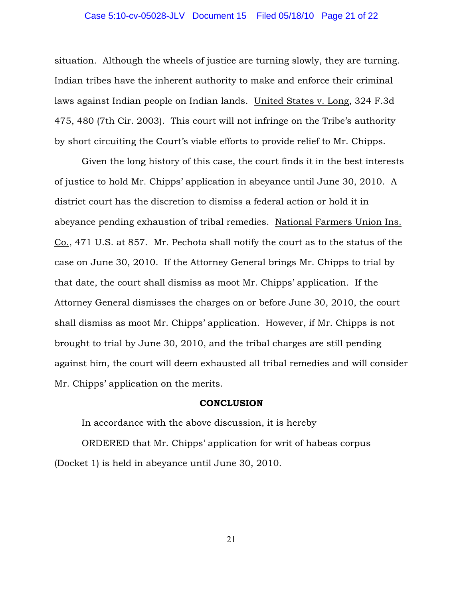## Case 5:10-cv-05028-JLV Document 15 Filed 05/18/10 Page 21 of 22

situation. Although the wheels of justice are turning slowly, they are turning. Indian tribes have the inherent authority to make and enforce their criminal laws against Indian people on Indian lands. United States v. Long, 324 F.3d 475, 480 (7th Cir. 2003). This court will not infringe on the Tribe's authority by short circuiting the Court's viable efforts to provide relief to Mr. Chipps.

Given the long history of this case, the court finds it in the best interests of justice to hold Mr. Chipps' application in abeyance until June 30, 2010. A district court has the discretion to dismiss a federal action or hold it in abeyance pending exhaustion of tribal remedies. National Farmers Union Ins. Co., 471 U.S. at 857. Mr. Pechota shall notify the court as to the status of the case on June 30, 2010. If the Attorney General brings Mr. Chipps to trial by that date, the court shall dismiss as moot Mr. Chipps' application. If the Attorney General dismisses the charges on or before June 30, 2010, the court shall dismiss as moot Mr. Chipps' application. However, if Mr. Chipps is not brought to trial by June 30, 2010, and the tribal charges are still pending against him, the court will deem exhausted all tribal remedies and will consider Mr. Chipps' application on the merits.

#### **CONCLUSION**

In accordance with the above discussion, it is hereby ORDERED that Mr. Chipps' application for writ of habeas corpus (Docket 1) is held in abeyance until June 30, 2010.